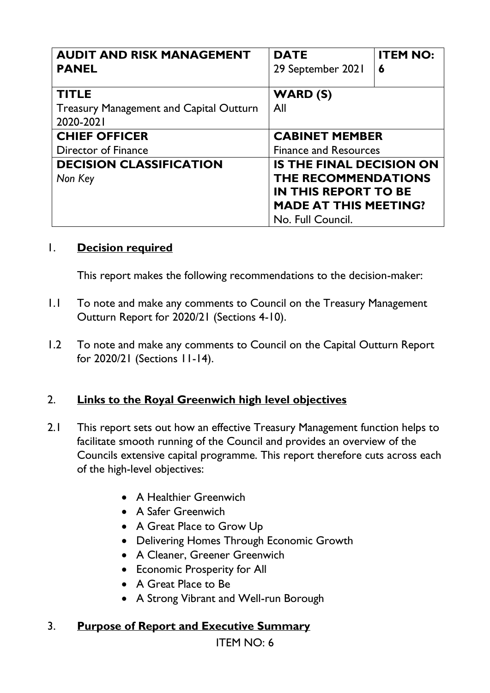| <b>AUDIT AND RISK MANAGEMENT</b>               | <b>DATE</b>                     | <b>ITEM NO:</b> |
|------------------------------------------------|---------------------------------|-----------------|
| <b>PANEL</b>                                   | 29 September 2021               | 6               |
| <b>TITLE</b>                                   | WARD (S)                        |                 |
| <b>Treasury Management and Capital Outturn</b> | All                             |                 |
| 2020-2021                                      |                                 |                 |
| <b>CHIEF OFFICER</b>                           | <b>CABINET MEMBER</b>           |                 |
| Director of Finance                            | <b>Finance and Resources</b>    |                 |
| <b>DECISION CLASSIFICATION</b>                 | <b>IS THE FINAL DECISION ON</b> |                 |
| Non Key                                        | <b>THE RECOMMENDATIONS</b>      |                 |
|                                                | <b>IN THIS REPORT TO BE</b>     |                 |
|                                                | <b>MADE AT THIS MEETING?</b>    |                 |
|                                                | No. Full Council.               |                 |

#### 1. **Decision required**

This report makes the following recommendations to the decision-maker:

- 1.1 To note and make any comments to Council on the Treasury Management Outturn Report for 2020/21 (Sections 4-10).
- 1.2 To note and make any comments to Council on the Capital Outturn Report for 2020/21 (Sections 11-14).

#### 2. **Links to the Royal Greenwich high level objectives**

- 2.1 This report sets out how an effective Treasury Management function helps to facilitate smooth running of the Council and provides an overview of the Councils extensive capital programme. This report therefore cuts across each of the high-level objectives:
	- A Healthier Greenwich
	- A Safer Greenwich
	- A Great Place to Grow Up
	- Delivering Homes Through Economic Growth
	- A Cleaner, Greener Greenwich
	- Economic Prosperity for All
	- A Great Place to Be
	- A Strong Vibrant and Well-run Borough

#### 3. **Purpose of Report and Executive Summary**

ITEM NO: 6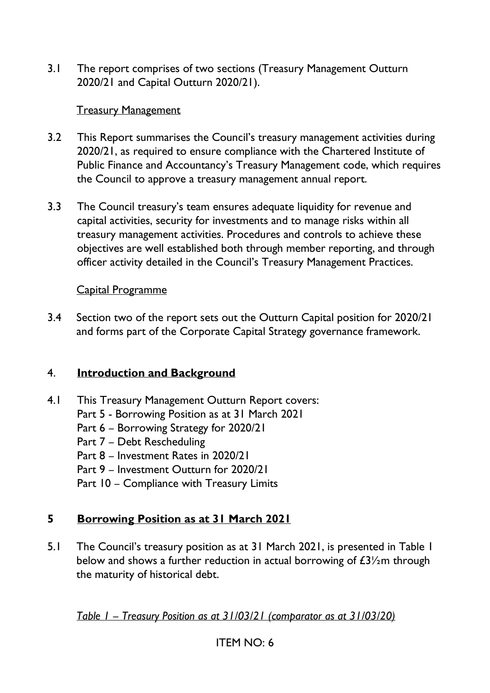3.1 The report comprises of two sections (Treasury Management Outturn 2020/21 and Capital Outturn 2020/21).

#### Treasury Management

- 3.2 This Report summarises the Council's treasury management activities during 2020/21, as required to ensure compliance with the Chartered Institute of Public Finance and Accountancy's Treasury Management code, which requires the Council to approve a treasury management annual report.
- 3.3 The Council treasury's team ensures adequate liquidity for revenue and capital activities, security for investments and to manage risks within all treasury management activities. Procedures and controls to achieve these objectives are well established both through member reporting, and through officer activity detailed in the Council's Treasury Management Practices.

#### Capital Programme

3.4 Section two of the report sets out the Outturn Capital position for 2020/21 and forms part of the Corporate Capital Strategy governance framework.

### 4. **Introduction and Background**

- 4.1 This Treasury Management Outturn Report covers:
	- Part 5 Borrowing Position as at 31 March 2021
	- Part 6 Borrowing Strategy for 2020/21
	- Part 7 Debt Rescheduling
	- Part 8 Investment Rates in 2020/21
	- Part 9 Investment Outturn for 2020/21
	- Part 10 Compliance with Treasury Limits

# **5 Borrowing Position as at 31 March 2021**

5.1 The Council's treasury position as at 31 March 2021, is presented in Table 1 below and shows a further reduction in actual borrowing of  $E\frac{3}{2}$ m through the maturity of historical debt.

*Table 1 – Treasury Position as at 31/03/21 (comparator as at 31/03/20)*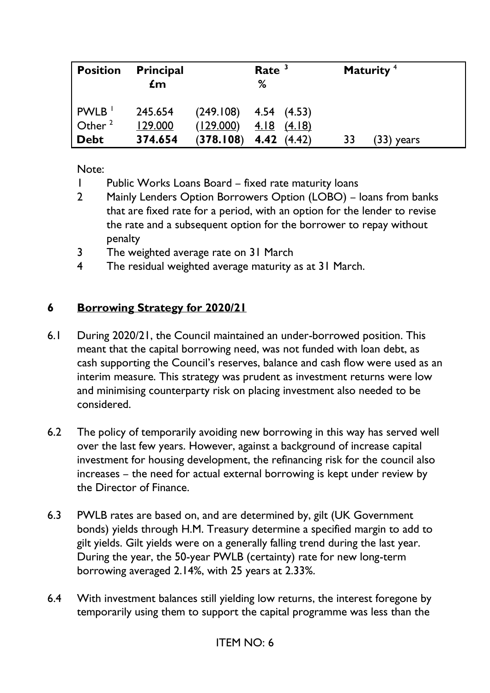| <b>Position</b>                | <b>Principal</b><br>$\mathbf{f}$ m |           | Rate $3$<br>%                                |    | Maturity <sup>4</sup> |
|--------------------------------|------------------------------------|-----------|----------------------------------------------|----|-----------------------|
| PWLB <sup>1</sup><br>Other $2$ | 245.654<br>129.000                 | (129.000) | $(249.108)$ 4.54 $(4.53)$<br>$4.18$ $(4.18)$ |    |                       |
| <b>Debt</b>                    | 374.654                            | (378.108) | 4.42(4.42)                                   | 33 | (33) years            |

Note:

- 1 Public Works Loans Board fixed rate maturity loans
- 2 Mainly Lenders Option Borrowers Option (LOBO) loans from banks that are fixed rate for a period, with an option for the lender to revise the rate and a subsequent option for the borrower to repay without penalty
- 3 The weighted average rate on 31 March
- 4 The residual weighted average maturity as at 31 March.

### **6 Borrowing Strategy for 2020/21**

- 6.1 During 2020/21, the Council maintained an under-borrowed position. This meant that the capital borrowing need, was not funded with loan debt, as cash supporting the Council's reserves, balance and cash flow were used as an interim measure. This strategy was prudent as investment returns were low and minimising counterparty risk on placing investment also needed to be considered.
- 6.2 The policy of temporarily avoiding new borrowing in this way has served well over the last few years. However, against a background of increase capital investment for housing development, the refinancing risk for the council also increases – the need for actual external borrowing is kept under review by the Director of Finance.
- 6.3 PWLB rates are based on, and are determined by, gilt (UK Government bonds) yields through H.M. Treasury determine a specified margin to add to gilt yields. Gilt yields were on a generally falling trend during the last year. During the year, the 50-year PWLB (certainty) rate for new long-term borrowing averaged 2.14%, with 25 years at 2.33%.
- 6.4 With investment balances still yielding low returns, the interest foregone by temporarily using them to support the capital programme was less than the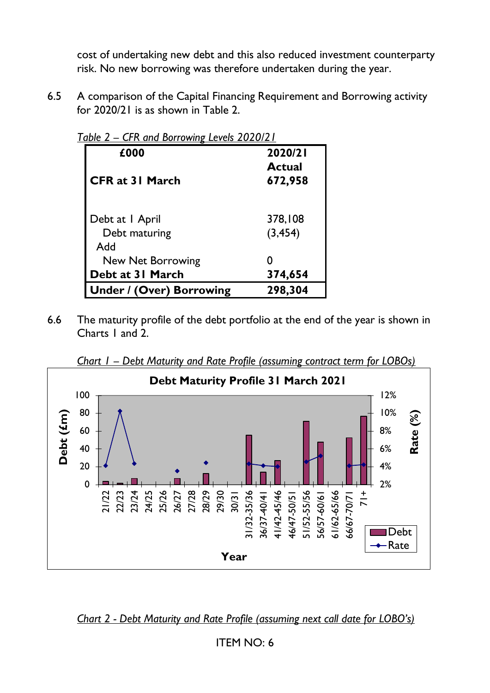cost of undertaking new debt and this also reduced investment counterparty risk. No new borrowing was therefore undertaken during the year.

6.5 A comparison of the Capital Financing Requirement and Borrowing activity for 2020/21 is as shown in Table 2.

| £000                            | 2020/21       |
|---------------------------------|---------------|
|                                 | <b>Actual</b> |
| <b>CFR at 31 March</b>          | 672,958       |
|                                 |               |
| Debt at I April                 | 378,108       |
| Debt maturing                   | (3, 454)      |
| <b>Add</b>                      |               |
| New Net Borrowing               |               |
| Debt at 31 March                | 374,654       |
| <b>Under / (Over) Borrowing</b> | 298,304       |

*Table 2 – CFR and Borrowing Levels 2020/21* 

6.6 The maturity profile of the debt portfolio at the end of the year is shown in Charts 1 and 2.



*Chart 1 – Debt Maturity and Rate Profile (assuming contract term for LOBOs)* 

*Chart 2 - Debt Maturity and Rate Profile (assuming next call date for LOBO's)*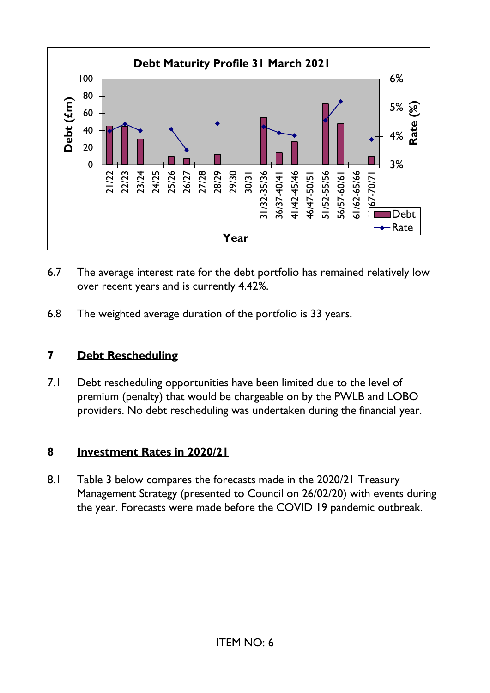

- 6.7 The average interest rate for the debt portfolio has remained relatively low over recent years and is currently 4.42%.
- 6.8 The weighted average duration of the portfolio is 33 years.

# **7 Debt Rescheduling**

7.1 Debt rescheduling opportunities have been limited due to the level of premium (penalty) that would be chargeable on by the PWLB and LOBO providers. No debt rescheduling was undertaken during the financial year.

# **8 Investment Rates in 2020/21**

8.1 Table 3 below compares the forecasts made in the 2020/21 Treasury Management Strategy (presented to Council on 26/02/20) with events during the year. Forecasts were made before the COVID 19 pandemic outbreak.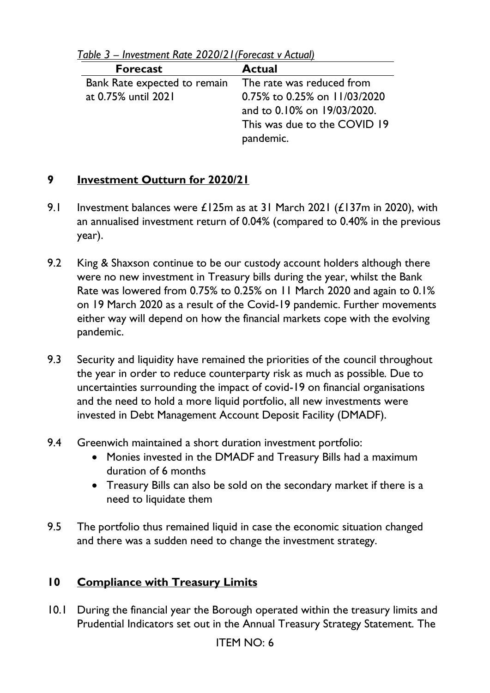| <b>Forecast</b>                                        | <b>Actual</b>                |
|--------------------------------------------------------|------------------------------|
| Bank Rate expected to remain The rate was reduced from |                              |
| at 0.75% until 2021                                    | 0.75% to 0.25% on 11/03/2020 |
|                                                        | and to 0.10% on 19/03/2020.  |
|                                                        | This was due to the COVID 19 |
|                                                        | pandemic.                    |

*Table 3 – Investment Rate 2020/21(Forecast v Actual)* 

### **9 Investment Outturn for 2020/21**

- 9.1 Investment balances were  $£125m$  as at 31 March 2021 ( $£137m$  in 2020), with an annualised investment return of 0.04% (compared to 0.40% in the previous year).
- 9.2 King & Shaxson continue to be our custody account holders although there were no new investment in Treasury bills during the year, whilst the Bank Rate was lowered from 0.75% to 0.25% on 11 March 2020 and again to 0.1% on 19 March 2020 as a result of the Covid-19 pandemic. Further movements either way will depend on how the financial markets cope with the evolving pandemic.
- 9.3 Security and liquidity have remained the priorities of the council throughout the year in order to reduce counterparty risk as much as possible*.* Due to uncertainties surrounding the impact of covid-19 on financial organisations and the need to hold a more liquid portfolio, all new investments were invested in Debt Management Account Deposit Facility (DMADF).
- 9.4 Greenwich maintained a short duration investment portfolio:
	- Monies invested in the DMADF and Treasury Bills had a maximum duration of 6 months
	- Treasury Bills can also be sold on the secondary market if there is a need to liquidate them
- 9.5 The portfolio thus remained liquid in case the economic situation changed and there was a sudden need to change the investment strategy.

# **10 Compliance with Treasury Limits**

10.1 During the financial year the Borough operated within the treasury limits and Prudential Indicators set out in the Annual Treasury Strategy Statement. The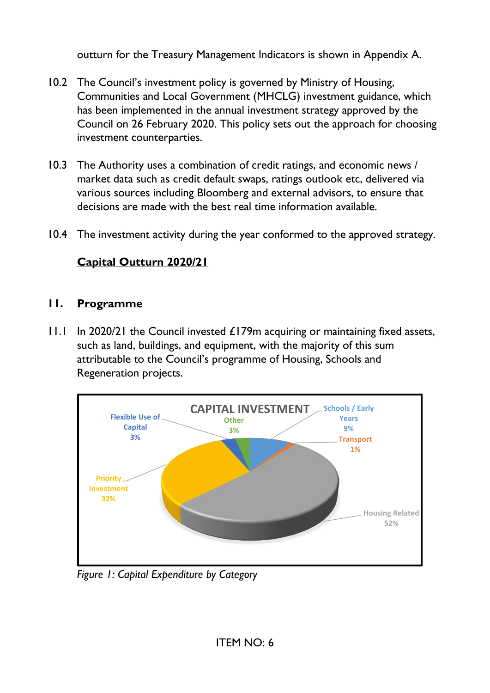outturn for the Treasury Management Indicators is shown in Appendix A.

- 10.2 The Council's investment policy is governed by Ministry of Housing, Communities and Local Government (MHCLG) investment guidance, which has been implemented in the annual investment strategy approved by the Council on 26 February 2020. This policy sets out the approach for choosing investment counterparties.
- 10.3 The Authority uses a combination of credit ratings, and economic news / market data such as credit default swaps, ratings outlook etc, delivered via various sources including Bloomberg and external advisors, to ensure that decisions are made with the best real time information available.
- 10.4 The investment activity during the year conformed to the approved strategy.

# **Capital Outturn 2020/21**

### **11. Programme**

11.1 In 2020/21 the Council invested £179m acquiring or maintaining fixed assets, such as land, buildings, and equipment, with the majority of this sum attributable to the Council's programme of Housing, Schools and Regeneration projects.



 *Figure 1: Capital Expenditure by Category*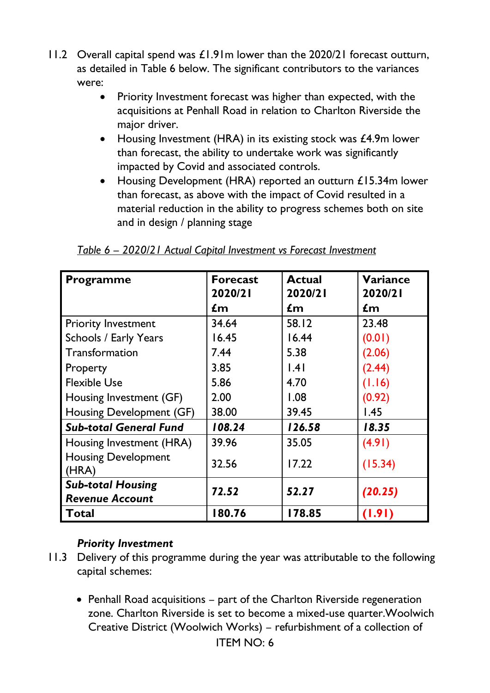- 11.2 Overall capital spend was £1.91m lower than the 2020/21 forecast outturn, as detailed in Table 6 below. The significant contributors to the variances were:
	- Priority Investment forecast was higher than expected, with the acquisitions at Penhall Road in relation to Charlton Riverside the major driver.
	- Housing Investment (HRA) in its existing stock was £4.9m lower than forecast, the ability to undertake work was significantly impacted by Covid and associated controls.
	- Housing Development (HRA) reported an outturn £15.34m lower than forecast, as above with the impact of Covid resulted in a material reduction in the ability to progress schemes both on site and in design / planning stage

| <b>Programme</b>                    | <b>Forecast</b><br>2020/21 | <b>Actual</b><br>2020/21 | <b>Variance</b><br>2020/21 |
|-------------------------------------|----------------------------|--------------------------|----------------------------|
|                                     | $\mathbf{f}$ m             | $\mathbf{f}$ m           | $\mathbf{f}$ m             |
| <b>Priority Investment</b>          | 34.64                      | 58.12                    | 23.48                      |
| <b>Schools / Early Years</b>        | 16.45                      | 16.44                    | (0.01)                     |
| Transformation                      | 7.44                       | 5.38                     | (2.06)                     |
| Property                            | 3.85                       | .4                       | (2.44)                     |
| <b>Flexible Use</b>                 | 5.86                       | 4.70                     | (1.16)                     |
| Housing Investment (GF)             | 2.00                       | 1.08                     | (0.92)                     |
| Housing Development (GF)            | 38.00                      | 39.45                    | 1.45                       |
| <b>Sub-total General Fund</b>       | 108.24                     | 126.58                   | 18.35                      |
| Housing Investment (HRA)            | 39.96                      | 35.05                    | (4.91)                     |
| <b>Housing Development</b><br>(HRA) | 32.56                      | 17.22                    | (15.34)                    |
| <b>Sub-total Housing</b>            | 72.52                      | 52.27                    | (20.25)                    |
| <b>Revenue Account</b>              |                            |                          |                            |
| Total                               | 180.76                     | 178.85                   | (1.91)                     |

*Table 6 – 2020/21 Actual Capital Investment vs Forecast Investment* 

# *Priority Investment*

- 11.3 Delivery of this programme during the year was attributable to the following capital schemes:
	- Penhall Road acquisitions part of the Charlton Riverside regeneration zone. Charlton Riverside is set to become a mixed-use quarter.Woolwich Creative District (Woolwich Works) – refurbishment of a collection of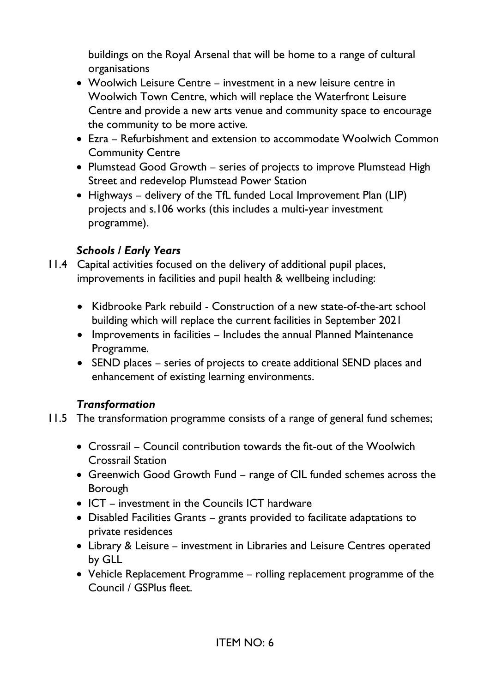buildings on the Royal Arsenal that will be home to a range of cultural organisations

- Woolwich Leisure Centre investment in a new leisure centre in Woolwich Town Centre, which will replace the Waterfront Leisure Centre and provide a new arts venue and community space to encourage the community to be more active.
- Ezra Refurbishment and extension to accommodate Woolwich Common Community Centre
- Plumstead Good Growth series of projects to improve Plumstead High Street and redevelop Plumstead Power Station
- Highways delivery of the TfL funded Local Improvement Plan (LIP) projects and s.106 works (this includes a multi-year investment programme).

### *Schools / Early Years*

- 11.4 Capital activities focused on the delivery of additional pupil places, improvements in facilities and pupil health & wellbeing including:
	- Kidbrooke Park rebuild Construction of a new state-of-the-art school building which will replace the current facilities in September 2021
	- Improvements in facilities Includes the annual Planned Maintenance Programme.
	- SEND places series of projects to create additional SEND places and enhancement of existing learning environments.

### *Transformation*

- 11.5 The transformation programme consists of a range of general fund schemes;
	- Crossrail Council contribution towards the fit-out of the Woolwich Crossrail Station
	- Greenwich Good Growth Fund range of CIL funded schemes across the Borough
	- ICT investment in the Councils ICT hardware
	- Disabled Facilities Grants grants provided to facilitate adaptations to private residences
	- Library & Leisure investment in Libraries and Leisure Centres operated by GLL
	- Vehicle Replacement Programme rolling replacement programme of the Council / GSPlus fleet.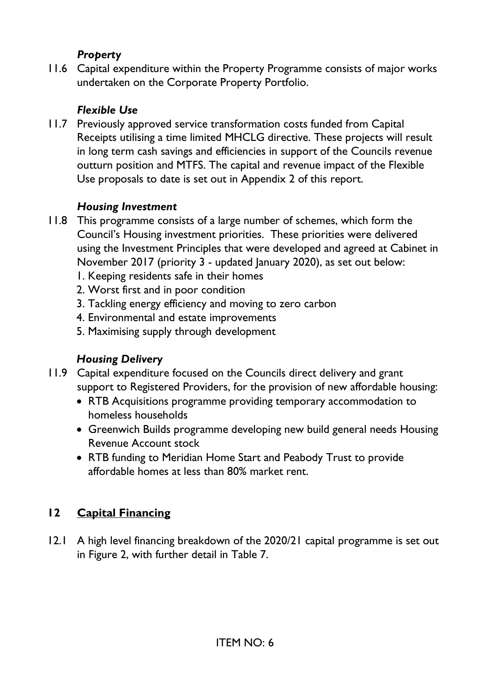#### *Property*

11.6 Capital expenditure within the Property Programme consists of major works undertaken on the Corporate Property Portfolio.

# *Flexible Use*

11.7 Previously approved service transformation costs funded from Capital Receipts utilising a time limited MHCLG directive. These projects will result in long term cash savings and efficiencies in support of the Councils revenue outturn position and MTFS. The capital and revenue impact of the Flexible Use proposals to date is set out in Appendix 2 of this report.

# *Housing Investment*

- 11.8 This programme consists of a large number of schemes, which form the Council's Housing investment priorities. These priorities were delivered using the Investment Principles that were developed and agreed at Cabinet in November 2017 (priority 3 - updated January 2020), as set out below:
	- 1. Keeping residents safe in their homes
	- 2. Worst first and in poor condition
	- 3. Tackling energy efficiency and moving to zero carbon
	- 4. Environmental and estate improvements
	- 5. Maximising supply through development

# *Housing Delivery*

- 11.9 Capital expenditure focused on the Councils direct delivery and grant support to Registered Providers, for the provision of new affordable housing:
	- RTB Acquisitions programme providing temporary accommodation to homeless households
	- Greenwich Builds programme developing new build general needs Housing Revenue Account stock
	- RTB funding to Meridian Home Start and Peabody Trust to provide affordable homes at less than 80% market rent.

# **12 Capital Financing**

12.1 A high level financing breakdown of the 2020/21 capital programme is set out in Figure 2, with further detail in Table 7.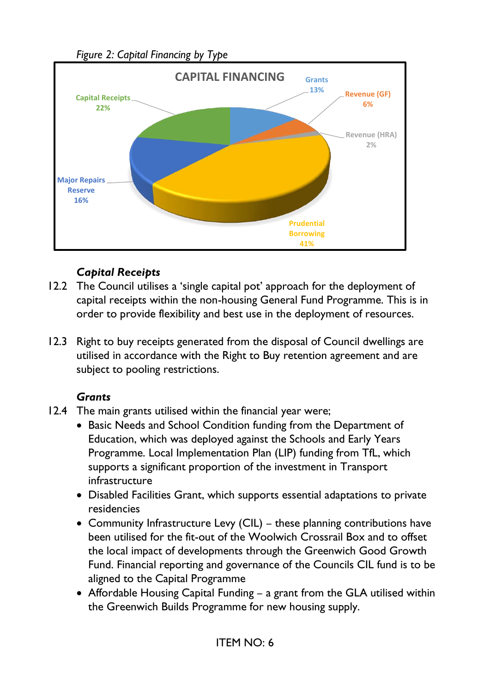*Figure 2: Capital Financing by Type*



### *Capital Receipts*

- 12.2 The Council utilises a 'single capital pot' approach for the deployment of capital receipts within the non-housing General Fund Programme. This is in order to provide flexibility and best use in the deployment of resources.
- 12.3 Right to buy receipts generated from the disposal of Council dwellings are utilised in accordance with the Right to Buy retention agreement and are subject to pooling restrictions.

### *Grants*

- 12.4 The main grants utilised within the financial year were;
	- Basic Needs and School Condition funding from the Department of Education, which was deployed against the Schools and Early Years Programme. Local Implementation Plan (LIP) funding from TfL, which supports a significant proportion of the investment in Transport infrastructure
	- Disabled Facilities Grant, which supports essential adaptations to private residencies
	- Community Infrastructure Levy (CIL) these planning contributions have been utilised for the fit-out of the Woolwich Crossrail Box and to offset the local impact of developments through the Greenwich Good Growth Fund. Financial reporting and governance of the Councils CIL fund is to be aligned to the Capital Programme
	- Affordable Housing Capital Funding a grant from the GLA utilised within the Greenwich Builds Programme for new housing supply.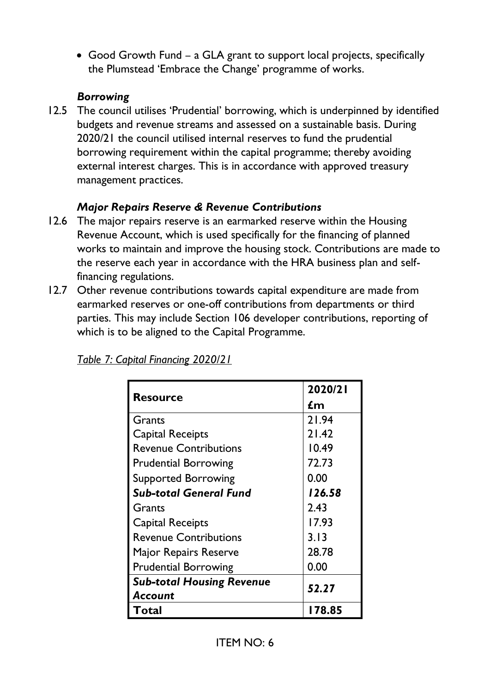• Good Growth Fund – a GLA grant to support local projects, specifically the Plumstead 'Embrace the Change' programme of works.

### *Borrowing*

12.5 The council utilises 'Prudential' borrowing, which is underpinned by identified budgets and revenue streams and assessed on a sustainable basis. During 2020/21 the council utilised internal reserves to fund the prudential borrowing requirement within the capital programme; thereby avoiding external interest charges. This is in accordance with approved treasury management practices.

# *Major Repairs Reserve & Revenue Contributions*

- 12.6 The major repairs reserve is an earmarked reserve within the Housing Revenue Account, which is used specifically for the financing of planned works to maintain and improve the housing stock. Contributions are made to the reserve each year in accordance with the HRA business plan and selffinancing regulations.
- 12.7 Other revenue contributions towards capital expenditure are made from earmarked reserves or one-off contributions from departments or third parties. This may include Section 106 developer contributions, reporting of which is to be aligned to the Capital Programme.

| <b>Resource</b>                  | 2020/21 |
|----------------------------------|---------|
|                                  | £m      |
| Grants                           | 21.94   |
| Capital Receipts                 | 21.42   |
| <b>Revenue Contributions</b>     | 10.49   |
| <b>Prudential Borrowing</b>      | 72.73   |
| <b>Supported Borrowing</b>       | 0.00    |
| <b>Sub-total General Fund</b>    | 126.58  |
| Grants                           | 2.43    |
| Capital Receipts                 | 17.93   |
| <b>Revenue Contributions</b>     | 3.13    |
| Major Repairs Reserve            | 28.78   |
| <b>Prudential Borrowing</b>      | 0.00    |
| <b>Sub-total Housing Revenue</b> | 52.27   |
| Account                          |         |
| Total                            | 178.85  |

*Table 7: Capital Financing 2020/21*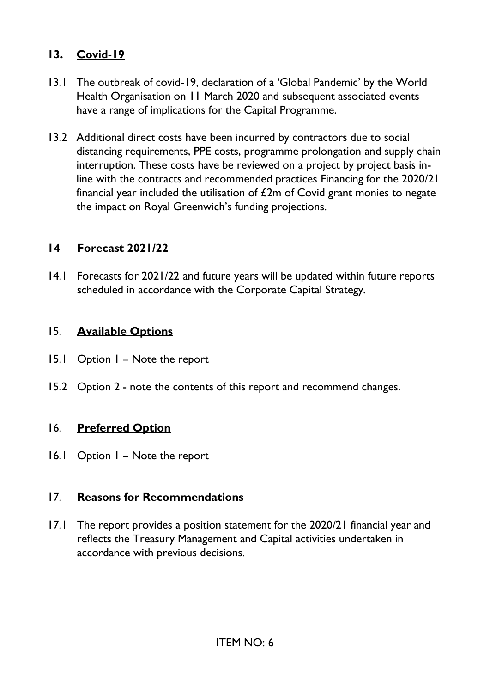#### **13. Covid-19**

- 13.1 The outbreak of covid-19, declaration of a 'Global Pandemic' by the World Health Organisation on 11 March 2020 and subsequent associated events have a range of implications for the Capital Programme.
- 13.2 Additional direct costs have been incurred by contractors due to social distancing requirements, PPE costs, programme prolongation and supply chain interruption. These costs have be reviewed on a project by project basis inline with the contracts and recommended practices Financing for the 2020/21 financial year included the utilisation of  $E2m$  of Covid grant monies to negate the impact on Royal Greenwich's funding projections.

#### **14 Forecast 2021/22**

14.1 Forecasts for 2021/22 and future years will be updated within future reports scheduled in accordance with the Corporate Capital Strategy.

#### 15. **Available Options**

- 15.1 Option 1 Note the report
- 15.2 Option 2 note the contents of this report and recommend changes.

#### 16. **Preferred Option**

16.1 Option 1 – Note the report

#### 17. **Reasons for Recommendations**

17.1 The report provides a position statement for the 2020/21 financial year and reflects the Treasury Management and Capital activities undertaken in accordance with previous decisions.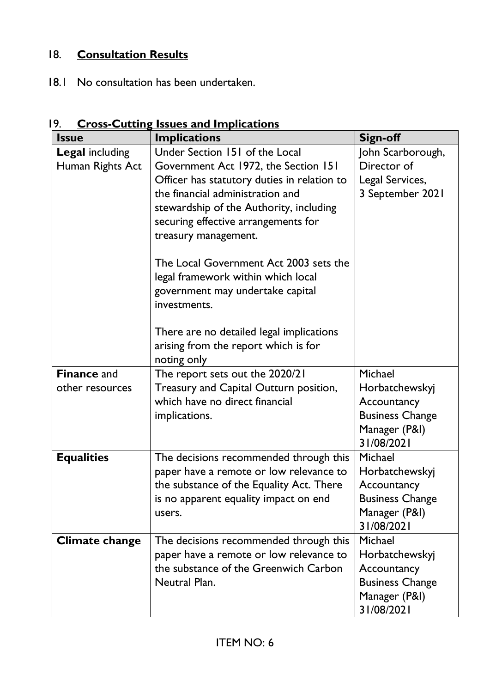# 18. **Consultation Results**

18.1 No consultation has been undertaken.

| <b>Issue</b>                               | <b>Implications</b>                                                                                                                                                                                                                                                                                                                                 | <b>Sign-off</b>                                                                                   |
|--------------------------------------------|-----------------------------------------------------------------------------------------------------------------------------------------------------------------------------------------------------------------------------------------------------------------------------------------------------------------------------------------------------|---------------------------------------------------------------------------------------------------|
| <b>Legal including</b><br>Human Rights Act | Under Section 151 of the Local<br>Government Act 1972, the Section 151<br>Officer has statutory duties in relation to<br>the financial administration and<br>stewardship of the Authority, including<br>securing effective arrangements for<br>treasury management.<br>The Local Government Act 2003 sets the<br>legal framework within which local | John Scarborough,<br>Director of<br>Legal Services,<br>3 September 2021                           |
| <b>Finance and</b>                         | government may undertake capital<br>investments.<br>There are no detailed legal implications<br>arising from the report which is for<br>noting only<br>The report sets out the 2020/21                                                                                                                                                              | Michael                                                                                           |
| other resources                            | Treasury and Capital Outturn position,                                                                                                                                                                                                                                                                                                              | Horbatchewskyj                                                                                    |
|                                            | which have no direct financial                                                                                                                                                                                                                                                                                                                      | Accountancy                                                                                       |
|                                            | implications.                                                                                                                                                                                                                                                                                                                                       | <b>Business Change</b><br>Manager (P&I)                                                           |
|                                            |                                                                                                                                                                                                                                                                                                                                                     | 31/08/2021                                                                                        |
| <b>Equalities</b>                          | The decisions recommended through this<br>paper have a remote or low relevance to<br>the substance of the Equality Act. There                                                                                                                                                                                                                       | Michael<br>Horbatchewskyj<br>Accountancy                                                          |
|                                            | is no apparent equality impact on end<br>users.                                                                                                                                                                                                                                                                                                     | <b>Business Change</b><br>Manager (P&I)<br>31/08/2021                                             |
| <b>Climate change</b>                      | The decisions recommended through this<br>paper have a remote or low relevance to<br>the substance of the Greenwich Carbon<br>Neutral Plan.                                                                                                                                                                                                         | Michael<br>Horbatchewskyj<br>Accountancy<br><b>Business Change</b><br>Manager (P&I)<br>31/08/2021 |

# 19. **Cross-Cutting Issues and Implications**